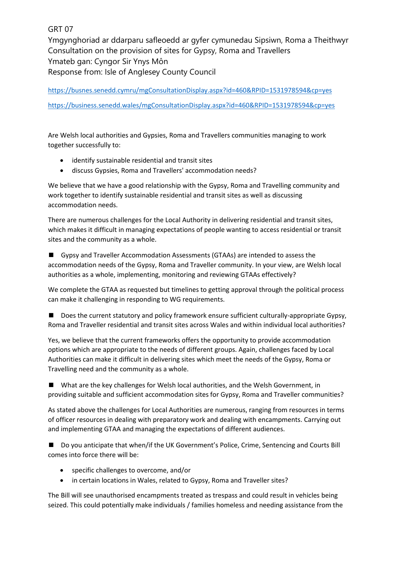GRT 07

Ymgynghoriad ar ddarparu safleoedd ar gyfer cymunedau Sipsiwn, Roma a Theithwyr Consultation on the provision of sites for Gypsy, Roma and Travellers Ymateb gan: Cyngor Sir Ynys Môn Response from: Isle of Anglesey County Council

<https://busnes.senedd.cymru/mgConsultationDisplay.aspx?id=460&RPID=1531978594&cp=yes> <https://business.senedd.wales/mgConsultationDisplay.aspx?id=460&RPID=1531978594&cp=yes>

Are Welsh local authorities and Gypsies, Roma and Travellers communities managing to work together successfully to:

- identify sustainable residential and transit sites
- discuss Gypsies, Roma and Travellers' accommodation needs?

We believe that we have a good relationship with the Gypsy, Roma and Travelling community and work together to identify sustainable residential and transit sites as well as discussing accommodation needs.

There are numerous challenges for the Local Authority in delivering residential and transit sites, which makes it difficult in managing expectations of people wanting to access residential or transit sites and the community as a whole.

■ Gypsy and Traveller Accommodation Assessments (GTAAs) are intended to assess the accommodation needs of the Gypsy, Roma and Traveller community. In your view, are Welsh local authorities as a whole, implementing, monitoring and reviewing GTAAs effectively?

We complete the GTAA as requested but timelines to getting approval through the political process can make it challenging in responding to WG requirements.

■ Does the current statutory and policy framework ensure sufficient culturally-appropriate Gypsy, Roma and Traveller residential and transit sites across Wales and within individual local authorities?

Yes, we believe that the current frameworks offers the opportunity to provide accommodation options which are appropriate to the needs of different groups. Again, challenges faced by Local Authorities can make it difficult in delivering sites which meet the needs of the Gypsy, Roma or Travelling need and the community as a whole.

■ What are the key challenges for Welsh local authorities, and the Welsh Government, in providing suitable and sufficient accommodation sites for Gypsy, Roma and Traveller communities?

As stated above the challenges for Local Authorities are numerous, ranging from resources in terms of officer resources in dealing with preparatory work and dealing with encampments. Carrying out and implementing GTAA and managing the expectations of different audiences.

■ Do you anticipate that when/if the UK Government's Police, Crime, Sentencing and Courts Bill comes into force there will be:

- specific challenges to overcome, and/or
- in certain locations in Wales, related to Gypsy, Roma and Traveller sites?

The Bill will see unauthorised encampments treated as trespass and could result in vehicles being seized. This could potentially make individuals / families homeless and needing assistance from the